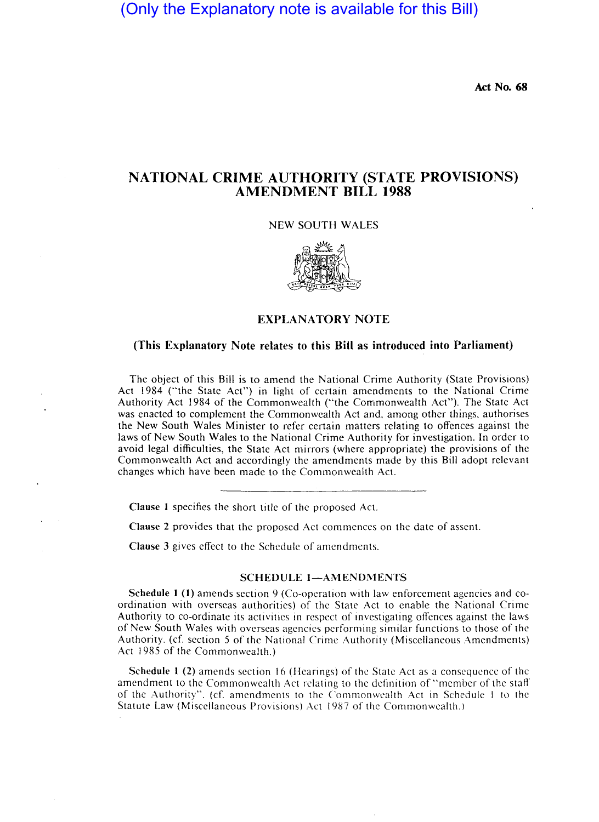(Only the Explanatory note is available for this Bill)

Act No. 68

# NATIONAL CRIME AUTHORITY (STATE PROVISIONS) AMENDMENT BILL 1988

NEW SOUTH WALES



### (This Explanatory Note relates to this Bill as introduced into Parliament)

The object of this Bill is to amend the National Crime Authority (State Provisions) Act 1984 ("the State Act") in light of certain amendments to the National Crime Authority Act 1984 of the Commonwealth ("the Commonwealth Act"). The State Act was enacted to complement the Commonwealth Act and, among other things, authorises the New South Wales Minister to refer certain matters relating to offences against the laws of New South Wales to the National Crime Authority for investigation. In order to avoid legal difficulties, the State Act mirrors (where appropriate) the provisions of the Commonwealth Act and accordingly the amendments made by this Bill adopt relevant changes which have been made to the Commonwealth Act.

Clause 1 specifies the short title of the proposed Act.

Clause 2 provides that the proposed Act commences on the date of assent.

Clause 3 gives effect to the Schedule of amendments.

### SCHEDULE 1-AMENDMENTS

Schedule 1 (1) amends section 9 (Co-operation with law enforcement agencies and coordination with overseas authorities) of the State Act to enable the National Crime Authority to co-ordinate its activities in respect of investigating offences against the laws of New South Wales with overseas agencies performing similar functions to those of the Authority. (cf. section 5 of the National Crime Authority (Miscellaneous Amendments) Act 1985 of the Commonwealth.)

Schedule 1 (2) amends section 16 (Hearings) of the State Act as a consequence of the amendment to the Commonwealth Act relating to the definition of "member of the staff of the Authority". (cf. amendments to the Commonwealth Act in Schedule I to the Statute Law (Miscellaneous Provisions) Act 1987 of the Commonwealth.)